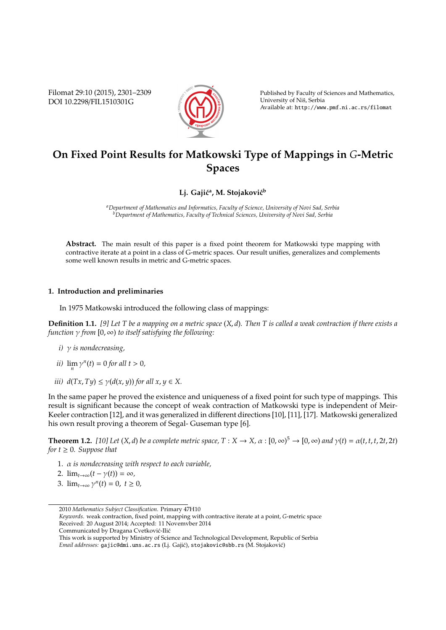Filomat 29:10 (2015), 2301–2309 DOI 10.2298/FIL1510301G



Published by Faculty of Sciences and Mathematics, University of Nis, Serbia ˇ Available at: http://www.pmf.ni.ac.rs/filomat

# **On Fixed Point Results for Matkowski Type of Mappings in** *G***-Metric Spaces**

## Lj. Gajić<sup>a</sup>, M. Stojaković<sup>b</sup>

*<sup>a</sup>Department of Mathematics and Informatics, Faculty of Science, University of Novi Sad, Serbia <sup>b</sup>Department of Mathematics, Faculty of Technical Sciences, University of Novi Sad, Serbia*

**Abstract.** The main result of this paper is a fixed point theorem for Matkowski type mapping with contractive iterate at a point in a class of G-metric spaces. Our result unifies, generalizes and complements some well known results in metric and G-metric spaces.

#### **1. Introduction and preliminaries**

In 1975 Matkowski introduced the following class of mappings:

**Definition 1.1.** *[9] Let T be a mapping on a metric space* (*X*, *d*)*. Then T is called a weak contraction if there exists a function* γ *from* [0, ∞) *to itself satisfying the following:*

- *i)* γ *is nondecreasing,*
- *ii*)  $\lim_{n} \gamma^{n}(t) = 0$  *for all t* > 0*,*
- *iii)*  $d(Tx, Ty) \leq \gamma(d(x, y))$  *for all*  $x, y \in X$ .

In the same paper he proved the existence and uniqueness of a fixed point for such type of mappings. This result is significant because the concept of weak contraction of Matkowski type is independent of Meir-Keeler contraction [12], and it was generalized in different directions [10], [11], [17]. Matkowski generalized his own result proving a theorem of Segal- Guseman type [6].

**Theorem 1.2.** [10] Let  $(X, d)$  be a complete metric space,  $T : X \to X$ ,  $\alpha : [0, \infty)^5 \to [0, \infty)$  and  $\gamma(t) = \alpha(t, t, t, 2t, 2t)$ *for*  $t \geq 0$ *. Suppose that* 

- 1. α *is nondecreasing with respect to each variable,*
- 2.  $\lim_{t\to\infty}(t-\gamma(t))=\infty$ *,*
- 3.  $\lim_{t \to \infty} \gamma^n(t) = 0, t \ge 0$ ,

<sup>2010</sup> *Mathematics Subject Classification*. Primary 47H10

*Keywords*. weak contraction, fixed point, mapping with contractive iterate at a point, *G*-metric space Received: 20 August 2014; Accepted: 11 Novemvber 2014

Communicated by Dragana Cvetković-Ilić

This work is supported by Ministry of Science and Technological Development, Republic of Serbia Email addresses: gajic@dmi.uns.ac.rs (Lj. Gajić), stojakovic@sbb.rs (M. Stojaković)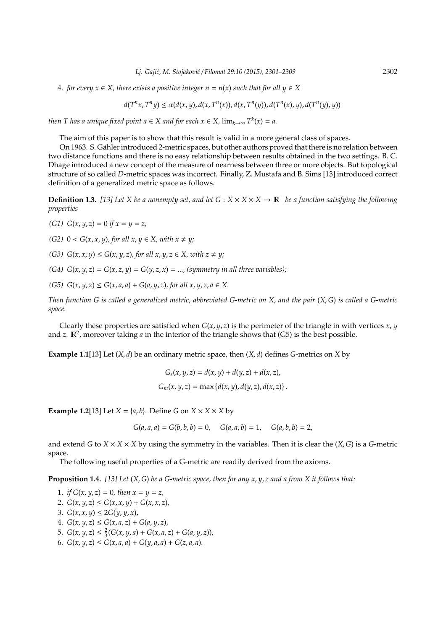4. *for every x* ∈ *X, there exists a positive integer n* = *n*(*x*) *such that for all y* ∈ *X*

$$
d(T^n x, T^n y) \leq \alpha(d(x,y), d(x,T^n(x)), d(x,T^n(y)), d(T^n(x),y), d(T^n(y),y))
$$

*then T* has a unique fixed point  $a \in X$  and for each  $x \in X$ ,  $\lim_{k \to \infty} T^k(x) = a$ .

The aim of this paper is to show that this result is valid in a more general class of spaces.

On 1963. S. Gahler introduced 2-metric spaces, but other authors proved that there is no relation between ¨ two distance functions and there is no easy relationship between results obtained in the two settings. B. C. Dhage introduced a new concept of the measure of nearness between three or more objects. But topological structure of so called *D*-metric spaces was incorrect. Finally, Z. Mustafa and B. Sims [13] introduced correct definition of a generalized metric space as follows.

**Definition 1.3.** [13] Let X be a nonempty set, and let  $G: X \times X \times X \to \mathbb{R}^+$  be a function satisfying the following *properties*

- *(G1) G*(*x*, *y*, *z*) = 0 *if x* = *y* = *z;*
- *(G2)*  $0 < G(x, x, y)$ *, for all*  $x, y \in X$ *, with*  $x \neq y$ *;*
- *(G3)*  $G(x, x, y) \le G(x, y, z)$ , for all  $x, y, z \in X$ , with  $z \neq y$ ;
- *(G4)*  $G(x, y, z) = G(x, z, y) = G(y, z, x) = \dots$ , *(symmetry in all three variables);*
- $(G5)$   $G(x, y, z) \le G(x, a, a) + G(a, y, z)$ , for all  $x, y, z, a \in X$ .

*Then function G is called a generalized metric, abbreviated G-metric on X, and the pair* (*X*, *G*) *is called a G-metric space.*

Clearly these properties are satisfied when  $G(x, y, z)$  is the perimeter of the triangle in with vertices  $x, y$ and *z*.  $\mathbb{R}^2$ , moreover taking *a* in the interior of the triangle shows that (G5) is the best possible.

**Example 1.1**[13] Let  $(X, d)$  be an ordinary metric space, then  $(X, d)$  defines *G*-metrics on *X* by

$$
G_s(x, y, z) = d(x, y) + d(y, z) + d(x, z),
$$
  

$$
G_m(x, y, z) = \max \{d(x, y), d(y, z), d(x, z)\}.
$$

**Example 1.2**[13] Let  $X = \{a, b\}$ . Define *G* on  $X \times X \times X$  by

$$
G(a, a, a) = G(b, b, b) = 0, \quad G(a, a, b) = 1, \quad G(a, b, b) = 2,
$$

and extend *G* to *X*  $\times$  *X*  $\times$  *X*  $\times$  *X* by using the symmetry in the variables. Then it is clear the (*X*, *G*) is a *G*-metric space.

The following useful properties of a G-metric are readily derived from the axioms.

**Proposition 1.4.** *[13] Let* (*X*, *G*) *be a G-metric space, then for any x*, *y*, *z and a from X it follows that:*

- 1. *if*  $G(x, y, z) = 0$ *, then*  $x = y = z$ ,
- 2.  $G(x, y, z) \le G(x, x, y) + G(x, x, z)$
- 3.  $G(x, x, y) \leq 2G(y, y, x)$ ,
- 4.  $G(x, y, z) \le G(x, a, z) + G(a, y, z)$ ,
- 5.  $G(x, y, z) \leq \frac{2}{3}(G(x, y, a) + G(x, a, z) + G(a, y, z)),$
- 6.  $G(x, y, z) \le G(x, a, a) + G(y, a, a) + G(z, a, a)$ .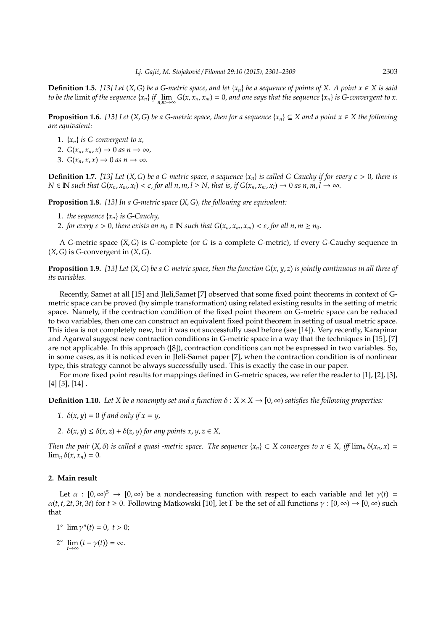**Definition 1.5.** [13] Let  $(X, G)$  be a G-metric space, and let  $\{x_n\}$  be a sequence of points of X. A point  $x \in X$  is said to be the limit of the sequence  $\{x_n\}$  if  $\lim_{n,m\to\infty} G(x,x_n,x_m)=0$ , and one says that the sequence  $\{x_n\}$  is G-convergent to x.

**Proposition 1.6.** *[13] Let* (*X*, *G*) *be a G-metric space, then for a sequence*  $\{x_n\} \subseteq X$  *and a point*  $x \in X$  *the following are equivalent:*

- 1.  $\{x_n\}$  *is G-convergent to x*,
- 2.  $G(x_n, x_n, x) \to 0$  *as*  $n \to \infty$ ,
- 3.  $G(x_n, x, x) \rightarrow 0$  *as*  $n \rightarrow \infty$ .

**Definition 1.7.** [13] Let  $(X, G)$  be a *G-metric space, a sequence*  $\{x_n\}$  *is called G-Cauchy if for every*  $\epsilon > 0$ *, there is*  $N \in \mathbb{N}$  such that  $G(x_n, x_m, x_l) < \epsilon$ , for all  $n, m, l \ge N$ , that is, if  $G(x_n, x_m, x_l) \to 0$  as  $n, m, l \to \infty$ .

**Proposition 1.8.** *[13] In a G-metric space* (*X*, *G*)*, the following are equivalent:*

- 1. *the sequence* {*xn*} *is G-Cauchy,*
- 2. *for every*  $\varepsilon > 0$ , there exists an  $n_0 \in \mathbb{N}$  such that  $G(x_n, x_m, x_m) < \varepsilon$ , for all  $n, m \ge n_0$ .

A *G*-metric space (*X*, *G*) is *G*-complete (or *G* is a complete *G*-metric), if every *G*-Cauchy sequence in (*X*, *G*) is *G*-convergent in (*X*, *G*).

**Proposition 1.9.** [13] Let  $(X, G)$  be a G-metric space, then the function  $G(x, y, z)$  is jointly continuous in all three of *its variables.*

Recently, Samet at all [15] and Jleli,Samet [7] observed that some fixed point theorems in context of Gmetric space can be proved (by simple transformation) using related existing results in the setting of metric space. Namely, if the contraction condition of the fixed point theorem on G-metric space can be reduced to two variables, then one can construct an equivalent fixed point theorem in setting of usual metric space. This idea is not completely new, but it was not successfully used before (see [14]). Very recently, Karapinar and Agarwal suggest new contraction conditions in G-metric space in a way that the techniques in [15], [7] are not applicable. In this approach ([8]), contraction conditions can not be expressed in two variables. So, in some cases, as it is noticed even in Jleli-Samet paper [7], when the contraction condition is of nonlinear type, this strategy cannot be always successfully used. This is exactly the case in our paper.

For more fixed point results for mappings defined in G-metric spaces, we refer the reader to [1], [2], [3],  $[4] [5]$ ,  $[14]$ .

**Definition 1.10.** *Let X be a nonempty set and a function*  $\delta$  :  $X \times X \rightarrow [0, \infty)$  *satisfies the following properties:* 

- 1.  $\delta(x, y) = 0$  *if and only if*  $x = y$ ,
- *2.*  $\delta(x, y) \leq \delta(x, z) + \delta(z, y)$  *for any points x, y, z*  $\in$  *X*,

*Then the pair*  $(X, \delta)$  *is called a quasi -metric space. The sequence*  $\{x_n\} \subset X$  *converges to*  $x \in X$ , *iff*  $\lim_n \delta(x_n, x) =$  $\lim_{n} \delta(x, x_n) = 0.$ 

### **2. Main result**

Let  $\alpha$  :  $[0,\infty)^5 \to [0,\infty)$  be a nondecreasing function with respect to each variable and let  $\gamma(t)$  =  $\alpha(t, t, 2t, 3t, 3t)$  for  $t \ge 0$ . Following Matkowski [10], let Γ be the set of all functions  $\gamma : [0, \infty) \to [0, \infty)$  such that

- 1<sup>°</sup>  $\lim \gamma^n(t) = 0, t > 0;$
- $2^{\circ}$   $\lim_{t \to \infty} (t \gamma(t)) = \infty.$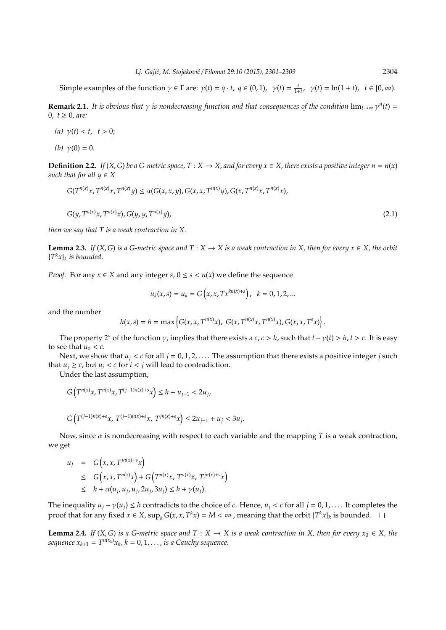Simple examples of the function  $\gamma \in \Gamma$  are:  $\gamma(t) = q \cdot t$ ,  $q \in (0, 1)$ ,  $\gamma(t) = \frac{t}{1+t}$ ,  $\gamma(t) = \ln(1+t)$ ,  $t \in [0, \infty)$ .

**Remark 2.1.** It is obvious that  $\gamma$  is nondecreasing function and that consequences of the condition  $\lim_{t\to\infty}\gamma^n(t)$  = 0,  $t \ge 0$ , are:

- *(a)*  $\gamma(t) < t, t > 0;$
- *(b)*  $\gamma(0) = 0$ .

**Definition 2.2.** *If* (*X*, *G*) *be a G-metric space,*  $T : X \to X$ *, and for every*  $x \in X$ *, there exists a positive integer*  $n = n(x)$ *such that for all*  $y \in X$ 

$$
G(T^{n(x)}x, T^{n(x)}x, T^{n(x)}y) \le \alpha(G(x, x, y), G(x, x, T^{n(x)}y), G(x, T^{n(x)}x, T^{n(x)}x),
$$
  

$$
G(y, T^{n(x)}x, T^{n(x)}x), G(y, y, T^{n(x)}y),
$$
 (2.1)

*then we say that T is a weak contraction in X.*

**Lemma 2.3.** *If* (*X*, *G*) *is a G-metric space and*  $T : X \to X$  *is a weak contraction in X*, *then for every*  $x \in X$ *, the orbit* {*T <sup>k</sup>x*}*<sup>k</sup> is bounded.*

*Proof.* For any  $x \in X$  and any integer  $s, 0 \le s < n(x)$  we define the sequence

$$
u_k(x,s) = u_k = G\left(x, x, Tx^{kn(x)+s}\right), \ \ k = 0, 1, 2, \dots
$$

and the number

$$
h(x,s) = h = \max \left\{ G(x,x,T^{n(x)}x), G(x,T^{n(x)}x,T^{n(x)}x), G(x,x,T^{s}x) \right\}.
$$

The property 2° of the function  $\gamma$ , implies that there exists a *c*, *c* > *h*, such that  $t - \gamma(t) > h$ ,  $t > c$ . It is easy to see that  $u_0 < c$ .

Next, we show that  $u_i < c$  for all  $j = 0, 1, 2, \ldots$ . The assumption that there exists a positive integer *j* such that  $u_i \geq c$ , but  $u_i < c$  for  $i < j$  will lead to contradiction.

Under the last assumption,

$$
G\left(T^{n(x)}x, T^{n(x)}x, T^{(j-1)n(x)+s}x\right) \leq h + u_{j-1} < 2u_j,
$$

$$
G\left(T^{(j-1)n(x)+s}x,\;T^{(j-1)n(x)+s}x,\;T^{jn(x)+s}x\right)\leq 2u_{j-1}+u_j<3u_j.
$$

 $\sim$ 

Now, since α is nondecreasing with respect to each variable and the mapping *T* is a weak contraction, we get

$$
u_j = G(x, x, T^{jn(x)+s}x)
$$
  
\n
$$
\leq G(x, x, T^{n(x)}x) + G(T^{n(x)}x, T^{n(x)}x, T^{jn(x)+s}x)
$$
  
\n
$$
\leq h + \alpha(u_j, u_j, u_j, 2u_j, 3u_j) \leq h + \gamma(u_j).
$$

The inequality  $u_i - \gamma(u_i) \leq h$  contradicts to the choice of *c*. Hence,  $u_i < c$  for all  $j = 0, 1, \ldots$ . It completes the proof that for any fixed  $x \in X$ ,  $\sup_k G(x, x, T^k x) = M < \infty$ , meaning that the orbit  $\{T^k x\}_k$  is bounded.

**Lemma 2.4.** *If* (*X*, *G*) *is a G-metric space and*  $T : X \to X$  *is a weak contraction in X*, *then for every*  $x_0 \in X$ *, the sequence*  $x_{k+1} = T^{n(x_k)}x_k$ ,  $k = 0, 1, \ldots$ , is a Cauchy sequence.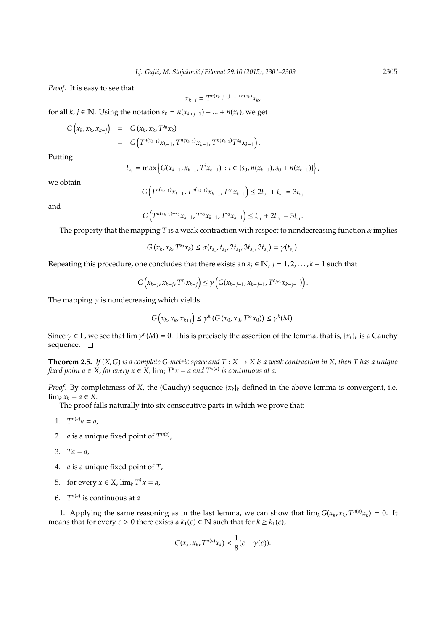*Proof.* It is easy to see that

$$
x_{k+j} = T^{n(x_{k+j-1}) + \ldots + n(x_k)} x_k,
$$

for all  $k, j \in \mathbb{N}$ . Using the notation  $s_0 = n(x_{k+j-1}) + ... + n(x_k)$ , we get

$$
G(x_k, x_k, x_{k+j}) = G(x_k, x_k, T^{s_0}x_k)
$$
  
= 
$$
G(T^{n(x_{k-1})}x_{k-1}, T^{n(x_{k-1})}x_{k-1}, T^{n(x_{k-1})}T^{s_0}x_{k-1})
$$

Putting

$$
t_{s_1} = \max \left\{ G(x_{k-1}, x_{k-1}, T^i x_{k-1}) : i \in \{s_0, n(x_{k-1}), s_0 + n(x_{k-1})\} \right\},\,
$$

.

we obtain

$$
G\left(T^{n(x_{k-1})}x_{k-1}, T^{n(x_{k-1})}x_{k-1}, T^{s_0}x_{k-1}\right) \leq 2t_{s_1} + t_{s_1} = 3t_{s_1}
$$

and

$$
G(T^{n(x_{k-1})+s_0}x_{k-1}, T^{s_0}x_{k-1}, T^{s_0}x_{k-1}) \le t_{s_1} + 2t_{s_1} = 3t_{s_1}.
$$

The property that the mapping *T* is a weak contraction with respect to nondecreasing function  $\alpha$  implies

$$
G(x_k,x_k,T^{s_0}x_k)\leq \alpha(t_{s_1},t_{s_1},2t_{s_1},3t_{s_1},3t_{s_1})=\gamma(t_{s_1}).
$$

Repeating this procedure, one concludes that there exists an  $s_j \in \mathbb{N}$ ,  $j = 1, 2, ..., k - 1$  such that

$$
G(x_{k-j}, x_{k-j}, T^{s_j}x_{k-j}) \leq \gamma \left( G(x_{k-j-1}, x_{k-j-1}, T^{s_{j+1}}x_{k-j-1}) \right).
$$

The mapping  $\gamma$  is nondecreasing which yields

$$
G\left(x_k,x_k,x_{k+j}\right)\leq \gamma^k \left(G\left(x_0,x_0,T^{s_k}x_0\right)\right)\leq \gamma^k(M).
$$

Since  $\gamma \in \Gamma$ , we see that  $\lim \gamma^n(M) = 0$ . This is precisely the assertion of the lemma, that is,  $\{x_k\}_k$  is a Cauchy sequence.  $\square$ 

**Theorem 2.5.** *If* (*X*, *G*) *is a complete G-metric space and*  $T : X \to X$  *is a weak contraction in X*, *then T has a unique fixed point a*  $\in$  *X*, *for every*  $x \in X$ ,  $\lim_k T^k x = a$  and  $T^{n(a)}$  is continuous at a.

*Proof.* By completeness of *X*, the (Cauchy) sequence  $\{x_k\}_k$  defined in the above lemma is convergent, i.e.  $\lim_k x_k = a \in X$ .

The proof falls naturally into six consecutive parts in which we prove that:

- 1.  $T^{n(a)} a = a$ ,
- 2. *a* is a unique fixed point of  $T^{n(a)}$ ,
- 3.  $Ta = a$ ,
- 4. *a* is a unique fixed point of *T*,
- 5. for every  $x \in X$ ,  $\lim_k T^k x = a$ ,
- 6.  $T^{n(a)}$  is continuous at *a*

1. Applying the same reasoning as in the last lemma, we can show that  $\lim_k G(x_k, x_k, T^{n(a)}x_k) = 0$ . It means that for every  $\varepsilon > 0$  there exists a  $k_1(\varepsilon) \in \mathbb{N}$  such that for  $k \geq k_1(\varepsilon)$ ,

$$
G(x_k,x_k,T^{n(a)}x_k)<\frac{1}{8}(\varepsilon-\gamma(\varepsilon)).
$$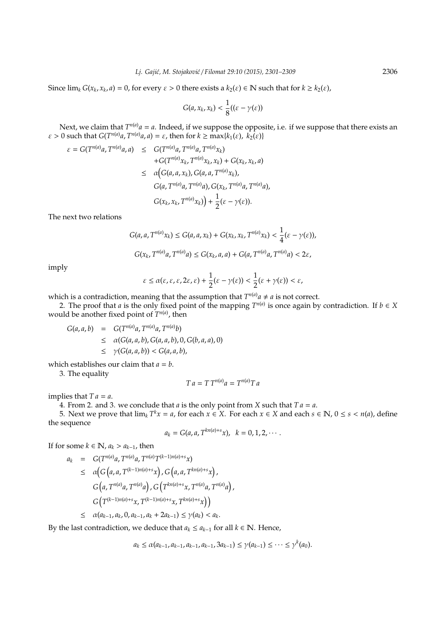Since  $\lim_k G(x_k, x_k, a) = 0$ , for every  $\varepsilon > 0$  there exists a  $k_2(\varepsilon) \in \mathbb{N}$  such that for  $k \geq k_2(\varepsilon)$ ,

$$
G(a,x_k,x_k)<\frac{1}{8}((\varepsilon-\gamma(\varepsilon))
$$

Next, we claim that  $T^{n(a)}a = a$ . Indeed, if we suppose the opposite, i.e. if we suppose that there exists an  $\varepsilon > 0$  such that  $G(T^{n(a)}a, T^{n(a)}a, a) = \varepsilon$ , then for  $k \ge \max\{k_1(\varepsilon), k_2(\varepsilon)\}$ 

$$
\varepsilon = G(T^{n(a)}a, T^{n(a)}a, a) \leq G(T^{n(a)}a, T^{n(a)}a, T^{n(a)}x_k)
$$
  
+
$$
G(T^{n(a)}x_k, T^{n(a)}x_k, x_k) + G(x_k, x_k, a)
$$
  

$$
\leq \alpha (G(a, a, x_k), G(a, a, T^{n(a)}x_k),
$$
  

$$
G(a, T^{n(a)}a, T^{n(a)}a), G(x_k, T^{n(a)}a, T^{n(a)}a),
$$
  

$$
G(x_k, x_k, T^{n(a)}x_k)) + \frac{1}{2}(\varepsilon - \gamma(\varepsilon)).
$$

The next two relations

$$
G(a, a, T^{n(a)}x_k) \le G(a, a, x_k) + G(x_k, x_k, T^{n(a)}x_k) < \frac{1}{4} (\varepsilon - \gamma(\varepsilon)),
$$
\n
$$
G(x_k, T^{n(a)}a, T^{n(a)}a) \le G(x_k, a, a) + G(a, T^{n(a)}a, T^{n(a)}a) < 2\varepsilon,
$$

imply

$$
\varepsilon \leq \alpha(\varepsilon,\varepsilon,\varepsilon,2\varepsilon,\varepsilon) + \frac{1}{2}(\varepsilon - \gamma(\varepsilon)) < \frac{1}{2}(\varepsilon + \gamma(\varepsilon)) < \varepsilon,
$$

which is a contradiction, meaning that the assumption that  $T^{n(a)}a \neq a$  is not correct.

2. The proof that *a* is the only fixed point of the mapping  $T^{n(a)}$  is once again by contradiction. If  $b \in X$ would be another fixed point of  $T^{n(a)}$ , then

 $G(a, a, b) = G(T^{n(a)}a, T^{n(a)}a, T^{n(a)}b)$  $\leq \alpha(G(a, a, b), G(a, a, b), 0, G(b, a, a), 0)$  $\leq \gamma(G(a,a,b)) < G(a,a,b),$ 

which establishes our claim that  $a = b$ .

3. The equality

$$
T a = T T^{n(a)} a = T^{n(a)} T a
$$

implies that  $Ta = a$ .

4. From 2. and 3. we conclude that *a* is the only point from *X* such that  $Ta = a$ .

5. Next we prove that  $\lim_k T^k x = a$ , for each  $x \in X$ . For each  $x \in X$  and each  $s \in \mathbb{N}$ ,  $0 \le s < n(a)$ , define the sequence

$$
a_k = G(a, a, T^{kn(a)+s}x), k = 0, 1, 2, \cdots
$$

If for some  $k \in \mathbb{N}$ ,  $a_k > a_{k-1}$ , then

$$
a_{k} = G(T^{n(a)}a, T^{n(a)}a, T^{n(a)}T^{(k-1)n(a)+s}x)
$$
  
\n
$$
\leq \alpha \Big(G\Big(a, a, T^{(k-1)n(a)+s}x\Big), G\Big(a, a, T^{kn(a)+s}x\Big),
$$
  
\n
$$
G\Big(a, T^{n(a)}a, T^{n(a)}a\Big), G\Big(T^{kn(a)+s}x, T^{n(a)}a, T^{n(a)}a\Big),
$$
  
\n
$$
G\Big(T^{(k-1)n(a)+s}x, T^{(k-1)n(a)+s}x, T^{kn(a)+s}x\Big)\Big)
$$
  
\n
$$
\leq \alpha (a_{k-1}, a_k, 0, a_{k-1}, a_k + 2a_{k-1}) \leq \gamma(a_k) < a_k.
$$

By the last contradiction, we deduce that  $a_k \le a_{k-1}$  for all  $k \in \mathbb{N}$ . Hence,

$$
a_k \leq \alpha(a_{k-1}, a_{k-1}, a_{k-1}, a_{k-1}, 3a_{k-1}) \leq \gamma(a_{k-1}) \leq \cdots \leq \gamma^k(a_0).
$$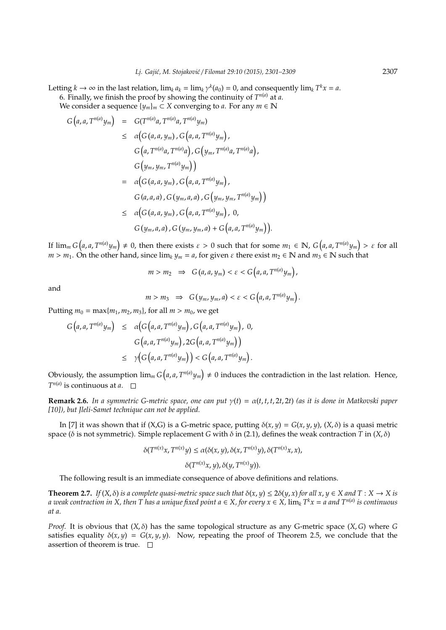Letting  $k \to \infty$  in the last relation,  $\lim_k a_k = \lim_k \gamma^k(a_0) = 0$ , and consequently  $\lim_k T^k x = a$ . 6. Finally, we finish the proof by showing the continuity of  $T^{n(a)}$  at *a*.

We consider a sequence  $\{y_m\}_m \subset X$  converging to *a*. For any  $m \in \mathbb{N}$ 

$$
G(a, a, T^{n(a)}y_m) = G(T^{n(a)}a, T^{n(a)}a, T^{n(a)}y_m)
$$
  
\n
$$
\leq \alpha (G(a, a, y_m), G(a, a, T^{n(a)}y_m),
$$
  
\n
$$
G(a, T^{n(a)}a, T^{n(a)}a), G(y_m, T^{n(a)}a, T^{n(a)}a),
$$
  
\n
$$
G(y_m, y_m, T^{n(a)}y_m))
$$
  
\n
$$
= \alpha (G(a, a, y_m), G(a, a, T^{n(a)}y_m),
$$
  
\n
$$
G(a, a, a), G(y_m, a, a), G(y_m, y_m, T^{n(a)}y_m))
$$
  
\n
$$
\leq \alpha (G(a, a, y_m), G(a, a, T^{n(a)}y_m), 0,
$$
  
\n
$$
G(y_m, a, a), G(y_m, y_m, a) + G(a, a, T^{n(a)}y_m)).
$$

If  $\lim_m G\big(a,a,T^{n(a)}y_m\big)\neq 0$ , then there exists  $\varepsilon>0$  such that for some  $m_1\in\mathbb{N}$ ,  $G\big(a,a,T^{n(a)}y_m\big)>\varepsilon$  for all  $m > m_1$ . On the other hand, since  $\lim_k y_m = a$ , for given  $\varepsilon$  there exist  $m_2 \in \mathbb{N}$  and  $m_3 \in \mathbb{N}$  such that

$$
m > m_2 \Rightarrow G(a, a, y_m) < \varepsilon < G(a, a, T^{n(a)} y_m),
$$

and

$$
m > m_3 \Rightarrow G(y_m, y_m, a) < \varepsilon < G(a, a, T^{n(a)}y_m).
$$

Putting  $m_0 = \max\{m_1, m_2, m_3\}$ , for all  $m > m_0$ , we get

$$
G\left(a,a,T^{n(a)}y_m\right) \leq \alpha\big(G\left(a,a,T^{n(a)}y_m\right),G\left(a,a,T^{n(a)}y_m\right), 0,
$$
  

$$
G\left(a,a,T^{n(a)}y_m\right),2G\left(a,a,T^{n(a)}y_m\right)\big)
$$
  

$$
\leq \gamma\big(G\left(a,a,T^{n(a)}y_m\right)\big) < G\left(a,a,T^{n(a)}y_m\right).
$$

Obviously, the assumption  $\lim_{m} G(a, a, T^{n(a)} y_m) \neq 0$  induces the contradiction in the last relation. Hence, *T n*(*a*) is continuous at *a*.

**Remark 2.6.** *In a symmetric G-metric space, one can put* γ(*t*) = α(*t*, *t*, *t*, 2*t*, 2*t*) *(as it is done in Matkovski paper [10]), but Jleli-Samet technique can not be applied.*

In [7] it was shown that if (X,G) is a G-metric space, putting  $\delta(x, y) = G(x, y, y)$ , (X,  $\delta$ ) is a quasi metric space (δ is not symmetric). Simple replacement *G* with δ in (2.1), defines the weak contraction *T* in (*X*, δ)

$$
\delta(T^{n(x)}x, T^{n(x)}y) \le \alpha(\delta(x, y), \delta(x, T^{n(x)}y), \delta(T^{n(x)}x, x),
$$

$$
\delta(T^{n(x)}x, y), \delta(y, T^{n(x)}y)).
$$

The following result is an immediate consequence of above definitions and relations.

**Theorem 2.7.** *If*  $(X, \delta)$  *is a complete quasi-metric space such that*  $\delta(x, y) \le 2\delta(y, x)$  *for all*  $x, y \in X$  *and*  $T : X \to X$  *is a weak contraction in X, then T has a unique fixed point a* ∈ *X, for every x* ∈ *X,* lim*<sup>k</sup> T <sup>k</sup>x* = *a and T<sup>n</sup>*(*a*) *is continuous at a.*

*Proof.* It is obvious that  $(X, \delta)$  has the same topological structure as any G-metric space  $(X, G)$  where G satisfies equality  $\delta(x, y) = G(x, y, y)$ . Now, repeating the proof of Theorem 2.5, we conclude that the assertion of theorem is true.  $\square$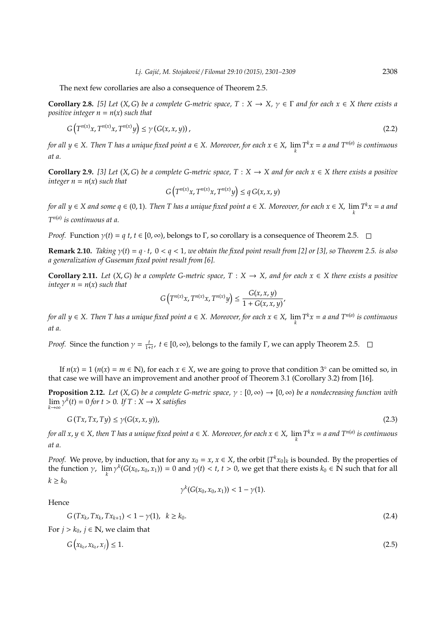The next few corollaries are also a consequence of Theorem 2.5.

**Corollary 2.8.** [5] Let  $(X, G)$  be a complete G-metric space,  $T : X \to X$ ,  $\gamma \in \Gamma$  and for each  $x \in X$  there exists a *positive integer*  $n = n(x)$  *such that* 

$$
G\left(T^{n(x)}x, T^{n(x)}x, T^{n(x)}y\right) \le \gamma\left(G(x, x, y)\right),\tag{2.2}
$$

*for all y*  $\in$  *X*. Then T has a unique fixed point  $a \in X$ . Moreover, for each  $x \in X$ ,  $\lim_{k} T^k x = a$  and  $T^{n(a)}$  is continuous *at a.*

**Corollary 2.9.** [3] Let  $(X, G)$  be a complete G-metric space,  $T : X \to X$  and for each  $x \in X$  there exists a positive *integer*  $n = n(x)$  *such that* 

$$
G(T^{n(x)}x, T^{n(x)}x, T^{n(x)}y) \le q G(x, x, y)
$$

*for all*  $y \in X$  and some  $q \in (0, 1)$ . Then T has a unique fixed point  $a \in X$ . Moreover, for each  $x \in X$ ,  $\lim_{k} T^k x = a$  and *T n*(*a*) *is continuous at a.*

*Proof.* Function  $\gamma(t) = q t$ ,  $t \in [0, \infty)$ , belongs to Γ, so corollary is a consequence of Theorem 2.5.  $\Box$ 

**Remark 2.10.** *Taking*  $\gamma(t) = q \cdot t$ ,  $0 < q < 1$ , we obtain the fixed point result from [2] or [3], so Theorem 2.5. is also *a generalization of Guseman fixed point result from [6].*

**Corollary 2.11.** *Let*  $(X, G)$  *be a complete G-metric space,*  $T : X \rightarrow X$ *, and for each*  $x \in X$  *there exists a positive integer*  $n = n(x)$  *such that* 

$$
G\left(T^{n(x)}x, T^{n(x)}x, T^{n(x)}y\right) \le \frac{G(x, x, y)}{1 + G(x, x, y)},
$$

*for all y*  $\in$  *X*. Then T has a unique fixed point  $a \in X$ . Moreover, for each  $x \in X$ ,  $\lim_{k} T^k x = a$  and  $T^{n(a)}$  is continuous *at a.*

*Proof.* Since the function  $\gamma = \frac{t}{1+t}$ ,  $t \in [0, \infty)$ , belongs to the family Γ, we can apply Theorem 2.5.

If  $n(x) = 1$  ( $n(x) = m \in \mathbb{N}$ ), for each  $x \in X$ , we are going to prove that condition 3° can be omitted so, in that case we will have an improvement and another proof of Theorem 3.1 (Corollary 3.2) from [16].

**Proposition 2.12.** *Let*  $(X, G)$  *be a complete G-metric space,*  $\gamma : [0, \infty) \to [0, \infty)$  *be a nondecreasing function with*  $\lim_{k \to \infty} \gamma^k(t) = 0$  *for*  $t > 0$ *. If*  $T : X \to X$  *satisfies* 

$$
G(Tx, Tx, Ty) \le \gamma(G(x, x, y)),\tag{2.3}
$$

*for all x, y*  $\in$  *X, then T has a unique fixed point a*  $\in$  *X. Moreover, for each x*  $\in$  *X,*  $\lim_{k} T^k x = a$  and  $T^{n(a)}$  is continuous *at a.*

*Proof.* We prove, by induction, that for any  $x_0 = x$ ,  $x \in X$ , the orbit  $\{T^k x_0\}_k$  is bounded. By the properties of the function  $\gamma$ ,  $\lim_{k} \gamma^{k}(G(x_0, x_0, x_1)) = 0$  and  $\gamma(t) < t$ ,  $t > 0$ , we get that there exists  $k_0 \in \mathbb{N}$  such that for all  $k \geq k_0$ 

$$
\gamma^{k}(G(x_0,x_0,x_1)) < 1 - \gamma(1).
$$

Hence

$$
G(Tx_k, Tx_k, Tx_{k+1}) < 1 - \gamma(1), \quad k \ge k_0. \tag{2.4}
$$

For  $j > k_0$ ,  $j \in \mathbb{N}$ , we claim that

$$
G(x_{k_0}, x_{k_0}, x_j) \le 1. \tag{2.5}
$$